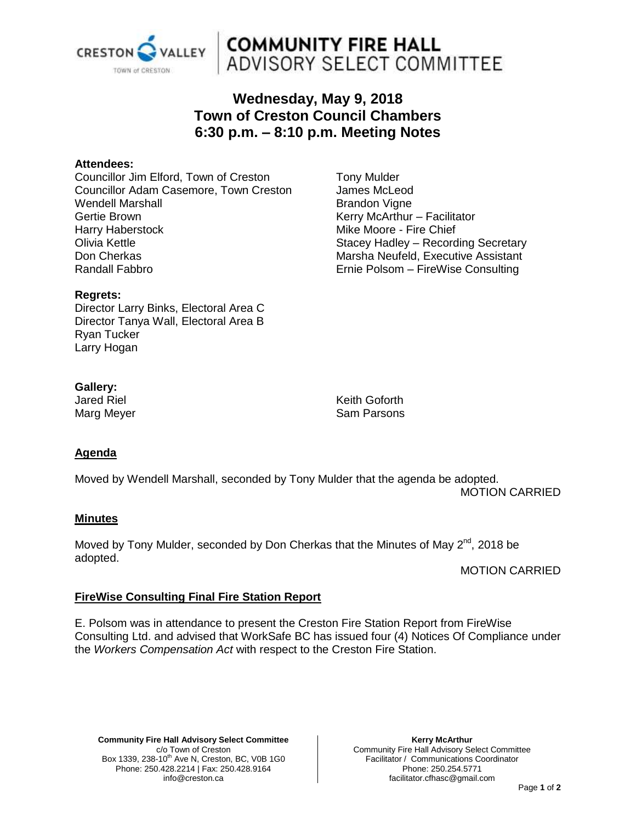

# **COMMUNITY FIRE HALL**<br>ADVISORY SELECT COMMITTEE

# **Wednesday, May 9, 2018 Town of Creston Council Chambers 6:30 p.m. – 8:10 p.m. Meeting Notes**

#### **Attendees:**

Councillor Jim Elford, Town of Creston Councillor Adam Casemore, Town Creston Wendell Marshall Gertie Brown Harry Haberstock Olivia Kettle Don Cherkas Randall Fabbro

Tony Mulder James McLeod Brandon Vigne Kerry McArthur – Facilitator Mike Moore - Fire Chief Stacey Hadley – Recording Secretary Marsha Neufeld, Executive Assistant Ernie Polsom – FireWise Consulting

#### **Regrets:**

Director Larry Binks, Electoral Area C Director Tanya Wall, Electoral Area B Ryan Tucker Larry Hogan

# **Gallery:**

Jared Riel Marg Meyer Keith Goforth Sam Parsons

# **Agenda**

Moved by Wendell Marshall, seconded by Tony Mulder that the agenda be adopted. MOTION CARRIED

## **Minutes**

Moved by Tony Mulder, seconded by Don Cherkas that the Minutes of May  $2^{nd}$ , 2018 be adopted.

MOTION CARRIED

## **FireWise Consulting Final Fire Station Report**

E. Polsom was in attendance to present the Creston Fire Station Report from FireWise Consulting Ltd. and advised that WorkSafe BC has issued four (4) Notices Of Compliance under the *Workers Compensation Act* with respect to the Creston Fire Station.

**Community Fire Hall Advisory Select Committee** c/o Town of Creston Box 1339, 238-10<sup>th</sup> Ave N, Creston, BC, V0B 1G0 Phone: 250.428.2214 | Fax: 250.428.9164 info@creston.ca

**Kerry McArthur** Community Fire Hall Advisory Select Committee Facilitator / Communications Coordinator Phone: 250.254.5771 facilitator.cfhasc@gmail.com